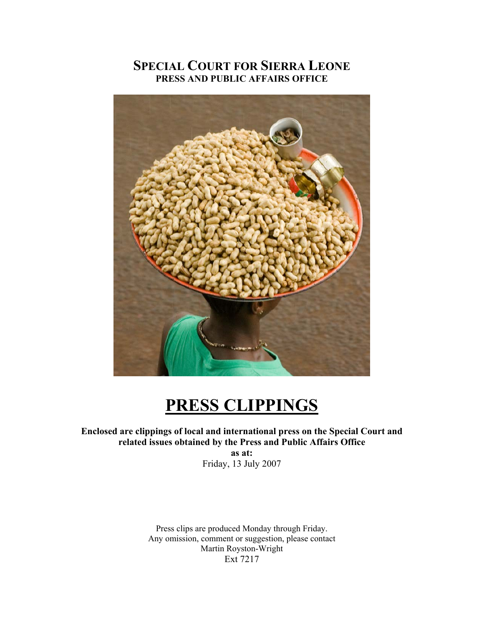# **SPECIAL COURT FOR SIERRA LEONE PRESS AND PUBLIC AFFAIRS OFFICE**



# **PRESS CLIPPINGS**

## **Enclosed are clippings of local and international press on the Special Court and related issues obtained by the Press and Public Affairs Office**

**as at:**  Friday, 13 July 2007

Press clips are produced Monday through Friday. Any omission, comment or suggestion, please contact Martin Royston-Wright Ext 7217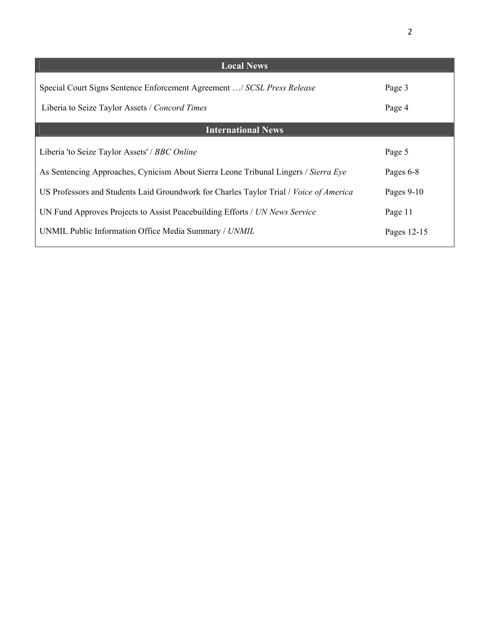| <b>Local News</b>                                                                                                         |                  |
|---------------------------------------------------------------------------------------------------------------------------|------------------|
| Special Court Signs Sentence Enforcement Agreement / SCSL Press Release<br>Liberia to Seize Taylor Assets / Concord Times | Page 3<br>Page 4 |
| <b>International News</b>                                                                                                 |                  |
| Liberia 'to Seize Taylor Assets' / BBC Online                                                                             | Page 5           |
| As Sentencing Approaches, Cynicism About Sierra Leone Tribunal Lingers / Sierra Eye                                       | Pages 6-8        |
| US Professors and Students Laid Groundwork for Charles Taylor Trial / Voice of America                                    | Pages $9-10$     |
| UN Fund Approves Projects to Assist Peacebuilding Efforts / UN News Service                                               | Page 11          |
| UNMIL Public Information Office Media Summary / UNMIL                                                                     | Pages 12-15      |
|                                                                                                                           |                  |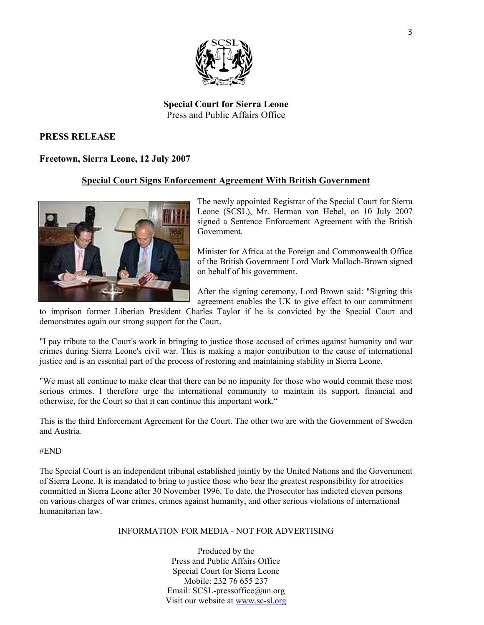

#### **Special Court for Sierra Leone**  Press and Public Affairs Office

#### **PRESS RELEASE**

#### **Freetown, Sierra Leone, 12 July 2007**

#### **Special Court Signs Enforcement Agreement With British Government**



The newly appointed Registrar of the Special Court for Sierra Leone (SCSL), Mr. Herman von Hebel, on 10 July 2007 signed a Sentence Enforcement Agreement with the British Government.

Minister for Africa at the Foreign and Commonwealth Office of the British Government Lord Mark Malloch-Brown signed on behalf of his government.

After the signing ceremony, Lord Brown said: "Signing this agreement enables the UK to give effect to our commitment

to imprison former Liberian President Charles Taylor if he is convicted by the Special Court and demonstrates again our strong support for the Court.

"I pay tribute to the Court's work in bringing to justice those accused of crimes against humanity and war crimes during Sierra Leone's civil war. This is making a major contribution to the cause of international justice and is an essential part of the process of restoring and maintaining stability in Sierra Leone.

"We must all continue to make clear that there can be no impunity for those who would commit these most serious crimes. I therefore urge the international community to maintain its support, financial and otherwise, for the Court so that it can continue this important work."

This is the third Enforcement Agreement for the Court. The other two are with the Government of Sweden and Austria.

#END

The Special Court is an independent tribunal established jointly by the United Nations and the Government of Sierra Leone. It is mandated to bring to justice those who bear the greatest responsibility for atrocities committed in Sierra Leone after 30 November 1996. To date, the Prosecutor has indicted eleven persons on various charges of war crimes, crimes against humanity, and other serious violations of international humanitarian law.

#### INFORMATION FOR MEDIA - NOT FOR ADVERTISING

Produced by the Press and Public Affairs Office Special Court for Sierra Leone Mobile: 232 76 655 237 Email: SCSL-pressoffice@un.org Visit our website at www.sc-sl.org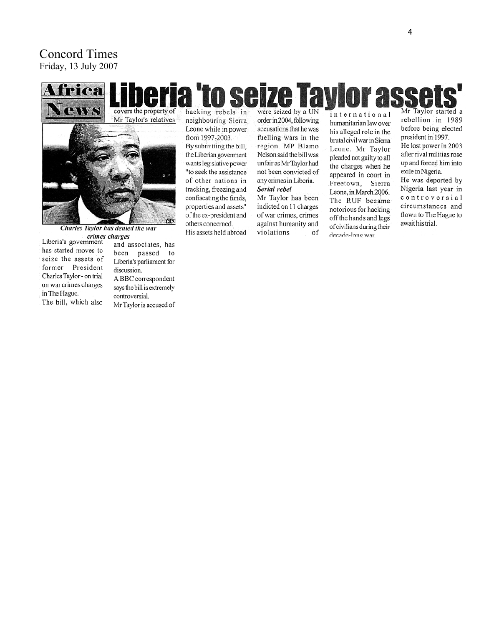# Concord Times Friday, 13 July 2007

# eria 'to seize Tavk **Tea** PIWS covers the property of Mr Taylor's relatives GP.

Charles Taylor has denied the war Liberia's government<br>Liberia's government<br>and a

has started moves to seize the assets of former President Charles Taylor - on trial on war crimes charges in The Hague. The bill, which also

and associates, has been passed to Liberia's parliament for discussion. A BBC correspondent says the bill is extremely controversial. Mr Taylor is accused of backing rebels in neighbouring Sierra Leone while in power

from 1997-2003. By submitting the bill, the Liberian govenment wants legislative power "to seek the assistance of other nations in tracking, freezing and confiscating the funds, properties and assets" of the ex-president and others concerned. His assets held abroad

were seized by a UN order in 2004, following accusations that he was fuelling wars in the region. MP Blamo Nelson said the bill was unfair as Mr Taylor had not been convicted of any crimes in Liberia. Serial rebel

Mr Taylor has been indicted on 11 charges of war crimes, crimes against humanity and violations of

international humanitarian law over his alleged role in the brutal civil war in Sierra Leone. Mr Taylor pleaded not guilty to all the charges when he appeared in court in Freetown, Sierra Leone, in March 2006. The RUF became notorious for hacking off the hands and legs of civilians during their decade-long war.

Mr Taylor started a rebellion in 1989 before being elected president in 1997. He lost power in 2003 after rival militias rose up and forced him into

exile in Nigeria. He was deported by Nigeria last year in controversial circumstances and flown to The Hague to await his trial.

r ass

4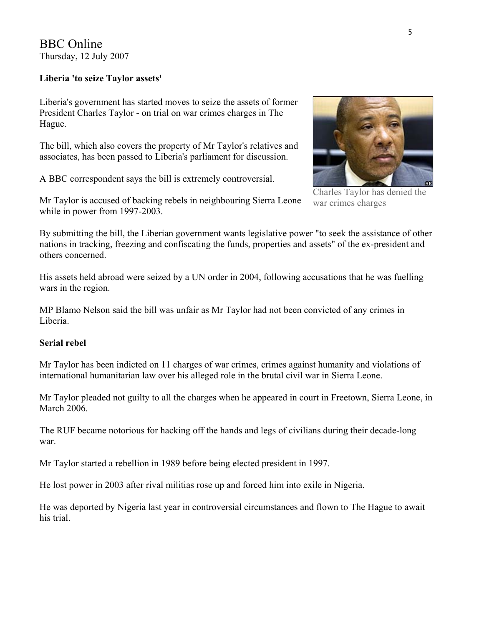BBC Online Thursday, 12 July 2007

#### **Liberia 'to seize Taylor assets'**

Liberia's government has started moves to seize the assets of former President Charles Taylor - on trial on war crimes charges in The Hague.

The bill, which also covers the property of Mr Taylor's relatives and associates, has been passed to Liberia's parliament for discussion.

A BBC correspondent says the bill is extremely controversial.

Mr Taylor is accused of backing rebels in neighbouring Sierra Leone while in power from 1997-2003.

Charles Taylor has denied the war crimes charges

By submitting the bill, the Liberian government wants legislative power "to seek the assistance of other nations in tracking, freezing and confiscating the funds, properties and assets" of the ex-president and others concerned.

His assets held abroad were seized by a UN order in 2004, following accusations that he was fuelling wars in the region.

MP Blamo Nelson said the bill was unfair as Mr Taylor had not been convicted of any crimes in Liberia.

#### **Serial rebel**

Mr Taylor has been indicted on 11 charges of war crimes, crimes against humanity and violations of international humanitarian law over his alleged role in the brutal civil war in Sierra Leone.

Mr Taylor pleaded not guilty to all the charges when he appeared in court in Freetown, Sierra Leone, in March 2006.

The RUF became notorious for hacking off the hands and legs of civilians during their decade-long war.

Mr Taylor started a rebellion in 1989 before being elected president in 1997.

He lost power in 2003 after rival militias rose up and forced him into exile in Nigeria.

He was deported by Nigeria last year in controversial circumstances and flown to The Hague to await his trial.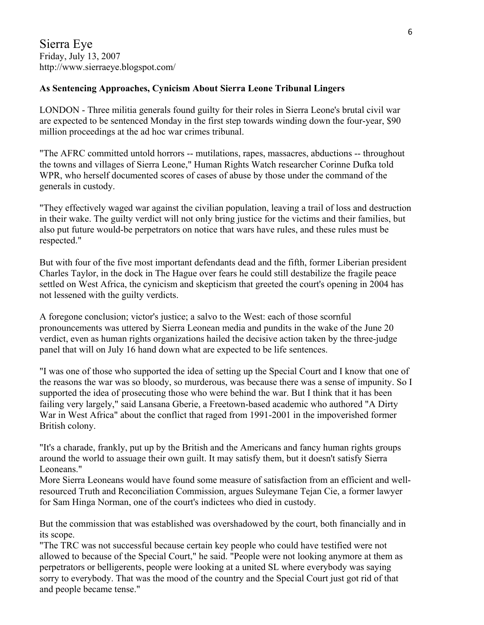#### **As Sentencing Approaches, Cynicism About Sierra Leone Tribunal Lingers**

LONDON - Three militia generals found guilty for their roles in Sierra Leone's brutal civil war are expected to be sentenced Monday in the first step towards winding down the four-year, \$90 million proceedings at the ad hoc war crimes tribunal.

"The AFRC committed untold horrors -- mutilations, rapes, massacres, abductions -- throughout the towns and villages of Sierra Leone," Human Rights Watch researcher Corinne Dufka told WPR, who herself documented scores of cases of abuse by those under the command of the generals in custody.

"They effectively waged war against the civilian population, leaving a trail of loss and destruction in their wake. The guilty verdict will not only bring justice for the victims and their families, but also put future would-be perpetrators on notice that wars have rules, and these rules must be respected."

But with four of the five most important defendants dead and the fifth, former Liberian president Charles Taylor, in the dock in The Hague over fears he could still destabilize the fragile peace settled on West Africa, the cynicism and skepticism that greeted the court's opening in 2004 has not lessened with the guilty verdicts.

A foregone conclusion; victor's justice; a salvo to the West: each of those scornful pronouncements was uttered by Sierra Leonean media and pundits in the wake of the June 20 verdict, even as human rights organizations hailed the decisive action taken by the three-judge panel that will on July 16 hand down what are expected to be life sentences.

"I was one of those who supported the idea of setting up the Special Court and I know that one of the reasons the war was so bloody, so murderous, was because there was a sense of impunity. So I supported the idea of prosecuting those who were behind the war. But I think that it has been failing very largely," said Lansana Gberie, a Freetown-based academic who authored "A Dirty War in West Africa" about the conflict that raged from 1991-2001 in the impoverished former British colony.

"It's a charade, frankly, put up by the British and the Americans and fancy human rights groups around the world to assuage their own guilt. It may satisfy them, but it doesn't satisfy Sierra Leoneans."

More Sierra Leoneans would have found some measure of satisfaction from an efficient and wellresourced Truth and Reconciliation Commission, argues Suleymane Tejan Cie, a former lawyer for Sam Hinga Norman, one of the court's indictees who died in custody.

But the commission that was established was overshadowed by the court, both financially and in its scope.

"The TRC was not successful because certain key people who could have testified were not allowed to because of the Special Court," he said. "People were not looking anymore at them as perpetrators or belligerents, people were looking at a united SL where everybody was saying sorry to everybody. That was the mood of the country and the Special Court just got rid of that and people became tense."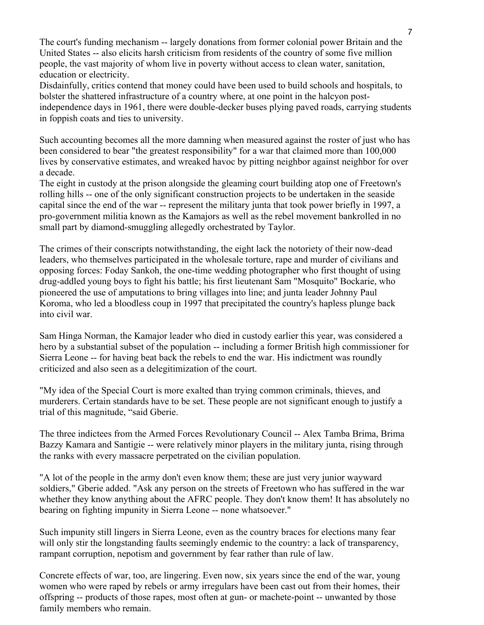The court's funding mechanism -- largely donations from former colonial power Britain and the United States -- also elicits harsh criticism from residents of the country of some five million people, the vast majority of whom live in poverty without access to clean water, sanitation, education or electricity.

Disdainfully, critics contend that money could have been used to build schools and hospitals, to bolster the shattered infrastructure of a country where, at one point in the halcyon postindependence days in 1961, there were double-decker buses plying paved roads, carrying students in foppish coats and ties to university.

Such accounting becomes all the more damning when measured against the roster of just who has been considered to bear "the greatest responsibility" for a war that claimed more than 100,000 lives by conservative estimates, and wreaked havoc by pitting neighbor against neighbor for over a decade.

The eight in custody at the prison alongside the gleaming court building atop one of Freetown's rolling hills -- one of the only significant construction projects to be undertaken in the seaside capital since the end of the war -- represent the military junta that took power briefly in 1997, a pro-government militia known as the Kamajors as well as the rebel movement bankrolled in no small part by diamond-smuggling allegedly orchestrated by Taylor.

The crimes of their conscripts notwithstanding, the eight lack the notoriety of their now-dead leaders, who themselves participated in the wholesale torture, rape and murder of civilians and opposing forces: Foday Sankoh, the one-time wedding photographer who first thought of using drug-addled young boys to fight his battle; his first lieutenant Sam "Mosquito" Bockarie, who pioneered the use of amputations to bring villages into line; and junta leader Johnny Paul Koroma, who led a bloodless coup in 1997 that precipitated the country's hapless plunge back into civil war.

Sam Hinga Norman, the Kamajor leader who died in custody earlier this year, was considered a hero by a substantial subset of the population -- including a former British high commissioner for Sierra Leone -- for having beat back the rebels to end the war. His indictment was roundly criticized and also seen as a delegitimization of the court.

"My idea of the Special Court is more exalted than trying common criminals, thieves, and murderers. Certain standards have to be set. These people are not significant enough to justify a trial of this magnitude, "said Gberie.

The three indictees from the Armed Forces Revolutionary Council -- Alex Tamba Brima, Brima Bazzy Kamara and Santigie -- were relatively minor players in the military junta, rising through the ranks with every massacre perpetrated on the civilian population.

"A lot of the people in the army don't even know them; these are just very junior wayward soldiers," Gberie added. "Ask any person on the streets of Freetown who has suffered in the war whether they know anything about the AFRC people. They don't know them! It has absolutely no bearing on fighting impunity in Sierra Leone -- none whatsoever."

Such impunity still lingers in Sierra Leone, even as the country braces for elections many fear will only stir the longstanding faults seemingly endemic to the country: a lack of transparency, rampant corruption, nepotism and government by fear rather than rule of law.

Concrete effects of war, too, are lingering. Even now, six years since the end of the war, young women who were raped by rebels or army irregulars have been cast out from their homes, their offspring -- products of those rapes, most often at gun- or machete-point -- unwanted by those family members who remain.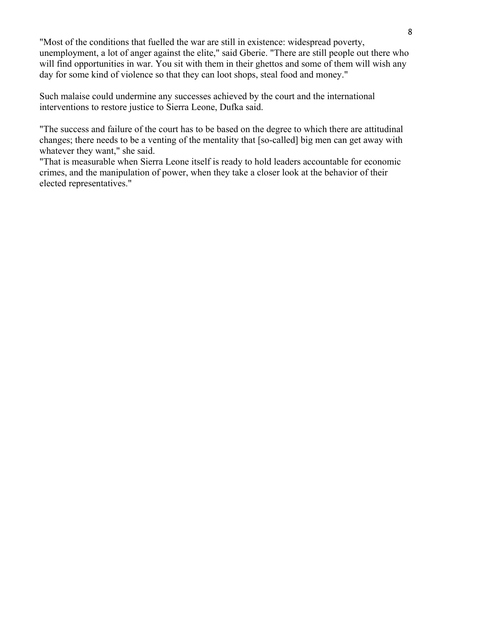"Most of the conditions that fuelled the war are still in existence: widespread poverty, unemployment, a lot of anger against the elite," said Gberie. "There are still people out there who will find opportunities in war. You sit with them in their ghettos and some of them will wish any day for some kind of violence so that they can loot shops, steal food and money."

Such malaise could undermine any successes achieved by the court and the international interventions to restore justice to Sierra Leone, Dufka said.

"The success and failure of the court has to be based on the degree to which there are attitudinal changes; there needs to be a venting of the mentality that [so-called] big men can get away with whatever they want," she said.

"That is measurable when Sierra Leone itself is ready to hold leaders accountable for economic crimes, and the manipulation of power, when they take a closer look at the behavior of their elected representatives."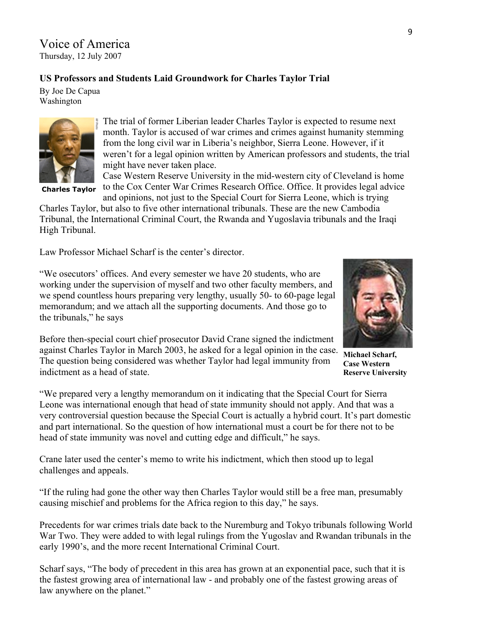# Voice of America

Thursday, 12 July 2007

#### **US Professors and Students Laid Groundwork for Charles Taylor Trial**

By Joe De Capua Washington



 **Charles Taylor**

The trial of former Liberian leader Charles Taylor is expected to resume next month. Taylor is accused of war crimes and crimes against humanity stemming from the long civil war in Liberia's neighbor, Sierra Leone. However, if it weren't for a legal opinion written by American professors and students, the trial might have never taken place.

Case Western Reserve University in the mid-western city of Cleveland is home to the Cox Center War Crimes Research Office. Office. It provides legal advice

and opinions, not just to the Special Court for Sierra Leone, which is trying Charles Taylor, but also to five other international tribunals. These are the new Cambodia Tribunal, the International Criminal Court, the Rwanda and Yugoslavia tribunals and the Iraqi High Tribunal.

Law Professor Michael Scharf is the center's director.

"We osecutors' offices. And every semester we have 20 students, who are working under the supervision of myself and two other faculty members, and we spend countless hours preparing very lengthy, usually 50- to 60-page legal memorandum; and we attach all the supporting documents. And those go to the tribunals," he says

Before then-special court chief prosecutor David Crane signed the indictment against Charles Taylor in March 2003, he asked for a legal opinion in the case. The question being considered was whether Taylor had legal immunity from indictment as a head of state.



**Michael Scharf, Case Western Reserve University** 

"We prepared very a lengthy memorandum on it indicating that the Special Court for Sierra Leone was international enough that head of state immunity should not apply. And that was a very controversial question because the Special Court is actually a hybrid court. It's part domestic and part international. So the question of how international must a court be for there not to be head of state immunity was novel and cutting edge and difficult," he says.

Crane later used the center's memo to write his indictment, which then stood up to legal challenges and appeals.

"If the ruling had gone the other way then Charles Taylor would still be a free man, presumably causing mischief and problems for the Africa region to this day," he says.

Precedents for war crimes trials date back to the Nuremburg and Tokyo tribunals following World War Two. They were added to with legal rulings from the Yugoslav and Rwandan tribunals in the early 1990's, and the more recent International Criminal Court.

Scharf says, "The body of precedent in this area has grown at an exponential pace, such that it is the fastest growing area of international law - and probably one of the fastest growing areas of law anywhere on the planet."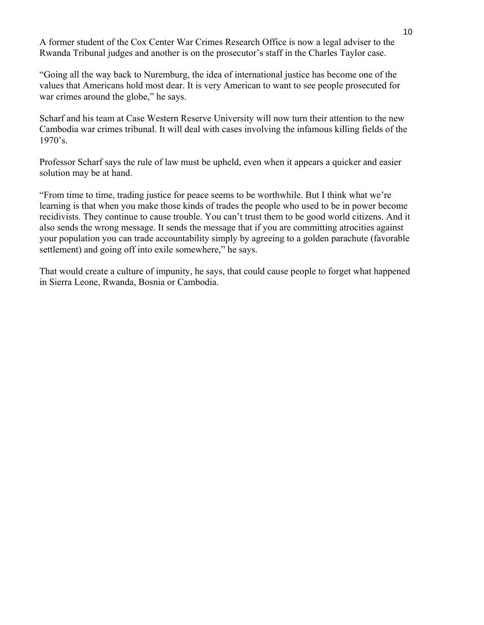A former student of the Cox Center War Crimes Research Office is now a legal adviser to the Rwanda Tribunal judges and another is on the prosecutor's staff in the Charles Taylor case.

"Going all the way back to Nuremburg, the idea of international justice has become one of the values that Americans hold most dear. It is very American to want to see people prosecuted for war crimes around the globe," he says.

Scharf and his team at Case Western Reserve University will now turn their attention to the new Cambodia war crimes tribunal. It will deal with cases involving the infamous killing fields of the 1970's.

Professor Scharf says the rule of law must be upheld, even when it appears a quicker and easier solution may be at hand.

"From time to time, trading justice for peace seems to be worthwhile. But I think what we're learning is that when you make those kinds of trades the people who used to be in power become recidivists. They continue to cause trouble. You can't trust them to be good world citizens. And it also sends the wrong message. It sends the message that if you are committing atrocities against your population you can trade accountability simply by agreeing to a golden parachute (favorable settlement) and going off into exile somewhere," he says.

That would create a culture of impunity, he says, that could cause people to forget what happened in Sierra Leone, Rwanda, Bosnia or Cambodia.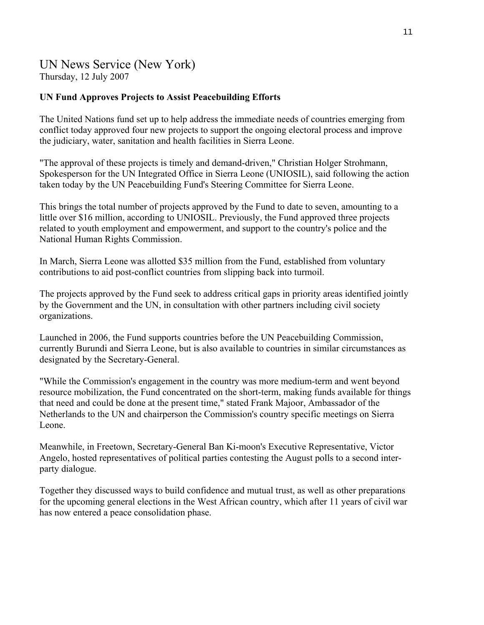# UN News Service (New York) Thursday, 12 July 2007

#### **UN Fund Approves Projects to Assist Peacebuilding Efforts**

The United Nations fund set up to help address the immediate needs of countries emerging from conflict today approved four new projects to support the ongoing electoral process and improve the judiciary, water, sanitation and health facilities in Sierra Leone.

"The approval of these projects is timely and demand-driven," Christian Holger Strohmann, Spokesperson for the UN Integrated Office in Sierra Leone (UNIOSIL), said following the action taken today by the UN Peacebuilding Fund's Steering Committee for Sierra Leone.

This brings the total number of projects approved by the Fund to date to seven, amounting to a little over \$16 million, according to UNIOSIL. Previously, the Fund approved three projects related to youth employment and empowerment, and support to the country's police and the National Human Rights Commission.

In March, Sierra Leone was allotted \$35 million from the Fund, established from voluntary contributions to aid post-conflict countries from slipping back into turmoil.

The projects approved by the Fund seek to address critical gaps in priority areas identified jointly by the Government and the UN, in consultation with other partners including civil society organizations.

Launched in 2006, the Fund supports countries before the UN Peacebuilding Commission, currently Burundi and Sierra Leone, but is also available to countries in similar circumstances as designated by the Secretary-General.

"While the Commission's engagement in the country was more medium-term and went beyond resource mobilization, the Fund concentrated on the short-term, making funds available for things that need and could be done at the present time," stated Frank Majoor, Ambassador of the Netherlands to the UN and chairperson the Commission's country specific meetings on Sierra Leone.

Meanwhile, in Freetown, Secretary-General Ban Ki-moon's Executive Representative, Victor Angelo, hosted representatives of political parties contesting the August polls to a second interparty dialogue.

Together they discussed ways to build confidence and mutual trust, as well as other preparations for the upcoming general elections in the West African country, which after 11 years of civil war has now entered a peace consolidation phase.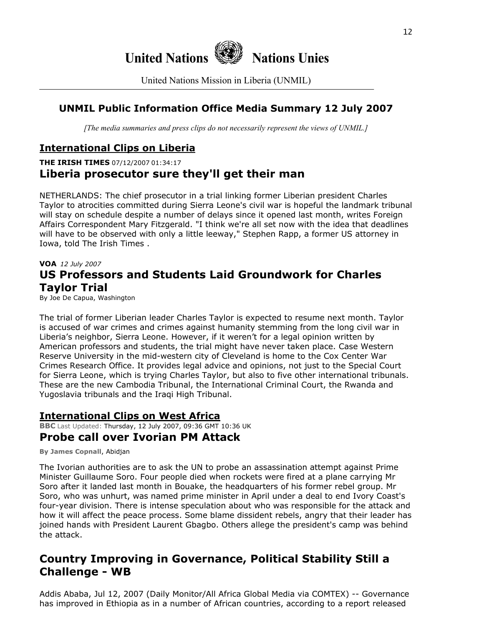

United Nations Mission in Liberia (UNMIL)

# **UNMIL Public Information Office Media Summary 12 July 2007**

*[The media summaries and press clips do not necessarily represent the views of UNMIL.]*

# **International Clips on Liberia**

## **THE IRISH TIMES** 07/12/2007 01:34:17 **Liberia prosecutor sure they'll get their man**

NETHERLANDS: The chief prosecutor in a trial linking former Liberian president Charles Taylor to atrocities committed during Sierra Leone's civil war is hopeful the landmark tribunal will stay on schedule despite a number of delays since it opened last month, writes Foreign Affairs Correspondent Mary Fitzgerald. "I think we're all set now with the idea that deadlines will have to be observed with only a little leeway," Stephen Rapp, a former US attorney in Iowa, told The Irish Times .

# **VOA** *12 July 2007* **US Professors and Students Laid Groundwork for Charles Taylor Trial**

By Joe De Capua, Washington

The trial of former Liberian leader Charles Taylor is expected to resume next month. Taylor is accused of war crimes and crimes against humanity stemming from the long civil war in Liberia's neighbor, Sierra Leone. However, if it weren't for a legal opinion written by American professors and students, the trial might have never taken place. Case Western Reserve University in the mid-western city of Cleveland is home to the Cox Center War Crimes Research Office. It provides legal advice and opinions, not just to the Special Court for Sierra Leone, which is trying Charles Taylor, but also to five other international tribunals. These are the new Cambodia Tribunal, the International Criminal Court, the Rwanda and Yugoslavia tribunals and the Iraqi High Tribunal.

#### **International Clips on West Africa BBC** Last Updated: Thursday, 12 July 2007, 09:36 GMT 10:36 UK **Probe call over Ivorian PM Attack**

**By James Copnall**, Abidjan

The Ivorian authorities are to ask the UN to probe an assassination attempt against Prime Minister Guillaume Soro. Four people died when rockets were fired at a plane carrying Mr Soro after it landed last month in Bouake, the headquarters of his former rebel group. Mr Soro, who was unhurt, was named prime minister in April under a deal to end Ivory Coast's four-year division. There is intense speculation about who was responsible for the attack and how it will affect the peace process. Some blame dissident rebels, angry that their leader has joined hands with President Laurent Gbagbo. Others allege the president's camp was behind the attack.

# **Country Improving in Governance, Political Stability Still a Challenge - WB**

Addis Ababa, Jul 12, 2007 (Daily Monitor/All Africa Global Media via COMTEX) -- Governance has improved in Ethiopia as in a number of African countries, according to a report released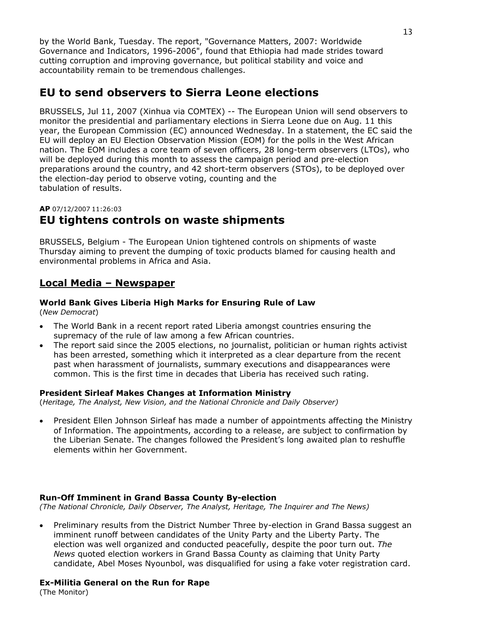by the World Bank, Tuesday. The report, "Governance Matters, 2007: Worldwide Governance and Indicators, 1996-2006", found that Ethiopia had made strides toward cutting corruption and improving governance, but political stability and voice and accountability remain to be tremendous challenges.

# **EU to send observers to Sierra Leone elections**

BRUSSELS, Jul 11, 2007 (Xinhua via COMTEX) -- The European Union will send observers to monitor the presidential and parliamentary elections in Sierra Leone due on Aug. 11 this year, the European Commission (EC) announced Wednesday. In a statement, the EC said the EU will deploy an EU Election Observation Mission (EOM) for the polls in the West African nation. The EOM includes a core team of seven officers, 28 long-term observers (LTOs), who will be deployed during this month to assess the campaign period and pre-election preparations around the country, and 42 short-term observers (STOs), to be deployed over the election-day period to observe voting, counting and the tabulation of results.

#### **AP** 07/12/2007 11:26:03

# **EU tightens controls on waste shipments**

BRUSSELS, Belgium - The European Union tightened controls on shipments of waste Thursday aiming to prevent the dumping of toxic products blamed for causing health and environmental problems in Africa and Asia.

## **Local Media – Newspaper**

#### **World Bank Gives Liberia High Marks for Ensuring Rule of Law**

(*New Democrat*)

- The World Bank in a recent report rated Liberia amongst countries ensuring the supremacy of the rule of law among a few African countries.
- The report said since the 2005 elections, no journalist, politician or human rights activist has been arrested, something which it interpreted as a clear departure from the recent past when harassment of journalists, summary executions and disappearances were common. This is the first time in decades that Liberia has received such rating.

#### **President Sirleaf Makes Changes at Information Ministry**

(*Heritage, The Analyst, New Vision, and the National Chronicle and Daily Observer)* 

• President Ellen Johnson Sirleaf has made a number of appointments affecting the Ministry of Information. The appointments, according to a release, are subject to confirmation by the Liberian Senate. The changes followed the President's long awaited plan to reshuffle elements within her Government.

#### **Run-Off Imminent in Grand Bassa County By-election**

*(The National Chronicle, Daily Observer, The Analyst, Heritage, The Inquirer and The News)* 

• Preliminary results from the District Number Three by-election in Grand Bassa suggest an imminent runoff between candidates of the Unity Party and the Liberty Party. The election was well organized and conducted peacefully, despite the poor turn out. *The News* quoted election workers in Grand Bassa County as claiming that Unity Party candidate, Abel Moses Nyounbol, was disqualified for using a fake voter registration card.

#### **Ex-Militia General on the Run for Rape**

(The Monitor)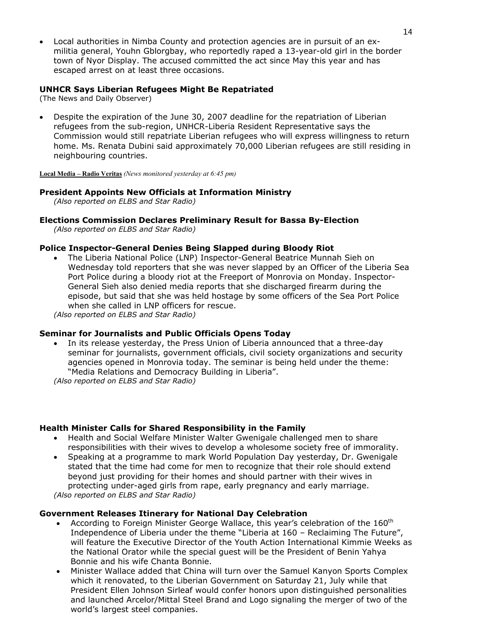• Local authorities in Nimba County and protection agencies are in pursuit of an exmilitia general, Youhn Gblorgbay, who reportedly raped a 13-year-old girl in the border town of Nyor Display. The accused committed the act since May this year and has escaped arrest on at least three occasions.

#### **UNHCR Says Liberian Refugees Might Be Repatriated**

(The News and Daily Observer)

• Despite the expiration of the June 30, 2007 deadline for the repatriation of Liberian refugees from the sub-region, UNHCR-Liberia Resident Representative says the Commission would still repatriate Liberian refugees who will express willingness to return home. Ms. Renata Dubini said approximately 70,000 Liberian refugees are still residing in neighbouring countries.

**Local Media – Radio Veritas** *(News monitored yesterday at 6:45 pm)* 

#### **President Appoints New Officials at Information Ministry**

*(Also reported on ELBS and Star Radio)*

#### **Elections Commission Declares Preliminary Result for Bassa By-Election**

*(Also reported on ELBS and Star Radio)*

#### **Police Inspector-General Denies Being Slapped during Bloody Riot**

• The Liberia National Police (LNP) Inspector-General Beatrice Munnah Sieh on Wednesday told reporters that she was never slapped by an Officer of the Liberia Sea Port Police during a bloody riot at the Freeport of Monrovia on Monday. Inspector-General Sieh also denied media reports that she discharged firearm during the episode, but said that she was held hostage by some officers of the Sea Port Police when she called in LNP officers for rescue.

*(Also reported on ELBS and Star Radio)*

#### **Seminar for Journalists and Public Officials Opens Today**

• In its release yesterday, the Press Union of Liberia announced that a three-day seminar for journalists, government officials, civil society organizations and security agencies opened in Monrovia today. The seminar is being held under the theme: "Media Relations and Democracy Building in Liberia".

*(Also reported on ELBS and Star Radio)*

#### **Health Minister Calls for Shared Responsibility in the Family**

- Health and Social Welfare Minister Walter Gwenigale challenged men to share responsibilities with their wives to develop a wholesome society free of immorality.
- Speaking at a programme to mark World Population Day yesterday, Dr. Gwenigale stated that the time had come for men to recognize that their role should extend beyond just providing for their homes and should partner with their wives in protecting under-aged girls from rape, early pregnancy and early marriage. *(Also reported on ELBS and Star Radio)*

#### **Government Releases Itinerary for National Day Celebration**

- According to Foreign Minister George Wallace, this year's celebration of the 160<sup>th</sup> Independence of Liberia under the theme "Liberia at 160 – Reclaiming The Future", will feature the Executive Director of the Youth Action International Kimmie Weeks as the National Orator while the special guest will be the President of Benin Yahya Bonnie and his wife Chanta Bonnie.
- Minister Wallace added that China will turn over the Samuel Kanyon Sports Complex which it renovated, to the Liberian Government on Saturday 21, July while that President Ellen Johnson Sirleaf would confer honors upon distinguished personalities and launched Arcelor/Mittal Steel Brand and Logo signaling the merger of two of the world's largest steel companies.